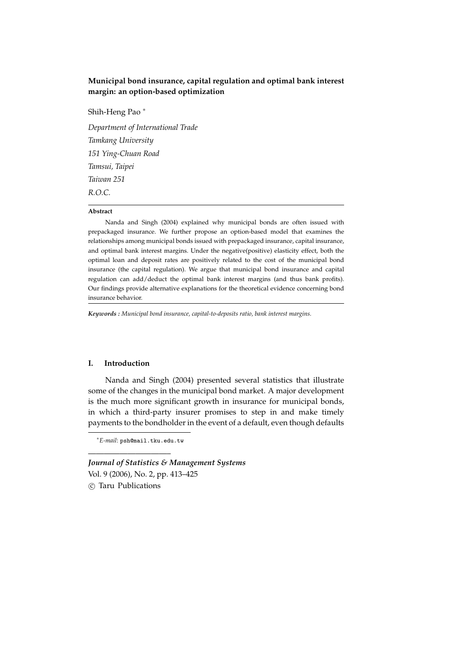# **Municipal bond insurance, capital regulation and optimal bank interest margin: an option-based optimization**

# Shih-Heng Pao <sup>∗</sup>

*Department of International Trade Tamkang University 151 Ying-Chuan Road Tamsui, Taipei Taiwan 251 R.O.C.*

# **Abstract**

Nanda and Singh (2004) explained why municipal bonds are often issued with prepackaged insurance. We further propose an option-based model that examines the relationships among municipal bonds issued with prepackaged insurance, capital insurance, and optimal bank interest margins. Under the negative(positive) elasticity effect, both the optimal loan and deposit rates are positively related to the cost of the municipal bond insurance (the capital regulation). We argue that municipal bond insurance and capital regulation can add/deduct the optimal bank interest margins (and thus bank profits). Our findings provide alternative explanations for the theoretical evidence concerning bond insurance behavior.

*Keywords : Municipal bond insurance, capital-to-deposits ratio, bank interest margins.*

#### **I. Introduction**

Nanda and Singh (2004) presented several statistics that illustrate some of the changes in the municipal bond market. A major development is the much more significant growth in insurance for municipal bonds, in which a third-party insurer promises to step in and make timely payments to the bondholder in the event of a default, even though defaults

<sup>∗</sup>*E-mail*: psh@mail.tku.edu.tw

————————————————————

*Journal of Statistics & Management Systems* Vol. 9 (2006), No. 2, pp. 413–425 °c Taru Publications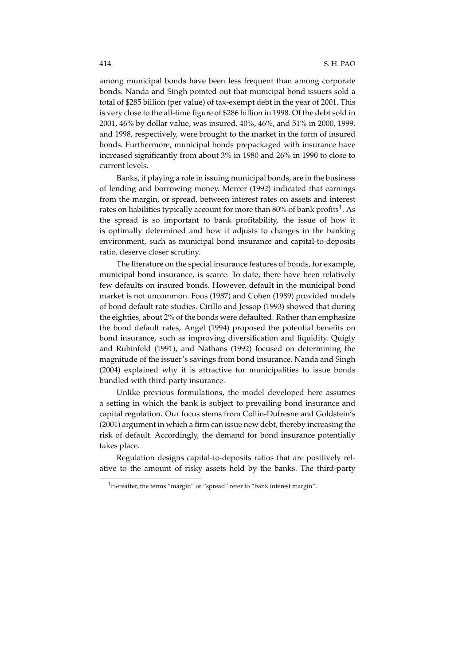among municipal bonds have been less frequent than among corporate bonds. Nanda and Singh pointed out that municipal bond issuers sold a total of \$285 billion (per value) of tax-exempt debt in the year of 2001. This is very close to the all-time figure of \$286 billion in 1998. Of the debt sold in 2001, 46% by dollar value, was insured, 40%, 46%, and 51% in 2000, 1999, and 1998, respectively, were brought to the market in the form of insured bonds. Furthermore, municipal bonds prepackaged with insurance have increased significantly from about 3% in 1980 and 26% in 1990 to close to current levels.

Banks, if playing a role in issuing municipal bonds, are in the business of lending and borrowing money. Mercer (1992) indicated that earnings from the margin, or spread, between interest rates on assets and interest rates on liabilities typically account for more than 80% of bank profits<sup>1</sup>. As the spread is so important to bank profitability, the issue of how it is optimally determined and how it adjusts to changes in the banking environment, such as municipal bond insurance and capital-to-deposits ratio, deserve closer scrutiny.

The literature on the special insurance features of bonds, for example, municipal bond insurance, is scarce. To date, there have been relatively few defaults on insured bonds. However, default in the municipal bond market is not uncommon. Fons (1987) and Cohen (1989) provided models of bond default rate studies. Cirillo and Jessop (1993) showed that during the eighties, about 2% of the bonds were defaulted. Rather than emphasize the bond default rates, Angel (1994) proposed the potential benefits on bond insurance, such as improving diversification and liquidity. Quigly and Rubinfeld (1991), and Nathans (1992) focused on determining the magnitude of the issuer's savings from bond insurance. Nanda and Singh (2004) explained why it is attractive for municipalities to issue bonds bundled with third-party insurance.

Unlike previous formulations, the model developed here assumes a setting in which the bank is subject to prevailing bond insurance and capital regulation. Our focus stems from Collin-Dufresne and Goldstein's (2001) argument in which a firm can issue new debt, thereby increasing the risk of default. Accordingly, the demand for bond insurance potentially takes place.

Regulation designs capital-to-deposits ratios that are positively relative to the amount of risky assets held by the banks. The third-party

<sup>&</sup>lt;sup>1</sup>Hereafter, the terms "margin" or "spread" refer to "bank interest margin".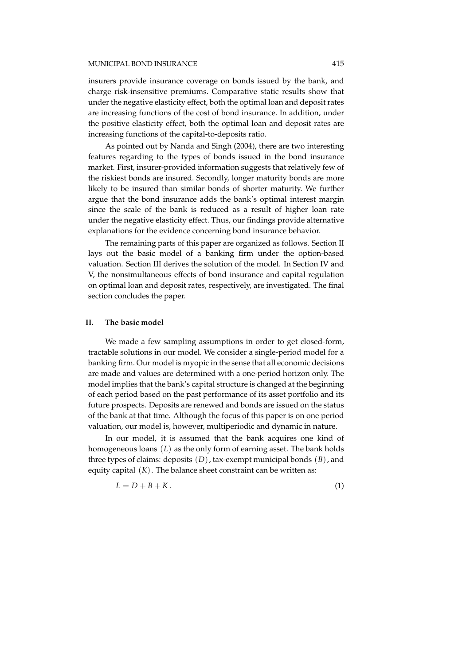insurers provide insurance coverage on bonds issued by the bank, and charge risk-insensitive premiums. Comparative static results show that under the negative elasticity effect, both the optimal loan and deposit rates are increasing functions of the cost of bond insurance. In addition, under the positive elasticity effect, both the optimal loan and deposit rates are increasing functions of the capital-to-deposits ratio.

As pointed out by Nanda and Singh (2004), there are two interesting features regarding to the types of bonds issued in the bond insurance market. First, insurer-provided information suggests that relatively few of the riskiest bonds are insured. Secondly, longer maturity bonds are more likely to be insured than similar bonds of shorter maturity. We further argue that the bond insurance adds the bank's optimal interest margin since the scale of the bank is reduced as a result of higher loan rate under the negative elasticity effect. Thus, our findings provide alternative explanations for the evidence concerning bond insurance behavior.

The remaining parts of this paper are organized as follows. Section II lays out the basic model of a banking firm under the option-based valuation. Section III derives the solution of the model. In Section IV and V, the nonsimultaneous effects of bond insurance and capital regulation on optimal loan and deposit rates, respectively, are investigated. The final section concludes the paper.

## **II. The basic model**

We made a few sampling assumptions in order to get closed-form, tractable solutions in our model. We consider a single-period model for a banking firm. Our model is myopic in the sense that all economic decisions are made and values are determined with a one-period horizon only. The model implies that the bank's capital structure is changed at the beginning of each period based on the past performance of its asset portfolio and its future prospects. Deposits are renewed and bonds are issued on the status of the bank at that time. Although the focus of this paper is on one period valuation, our model is, however, multiperiodic and dynamic in nature.

In our model, it is assumed that the bank acquires one kind of homogeneous loans (*L*) as the only form of earning asset. The bank holds three types of claims: deposits (*D*), tax-exempt municipal bonds (*B*), and equity capital (*K*). The balance sheet constraint can be written as:

$$
L = D + B + K. \tag{1}
$$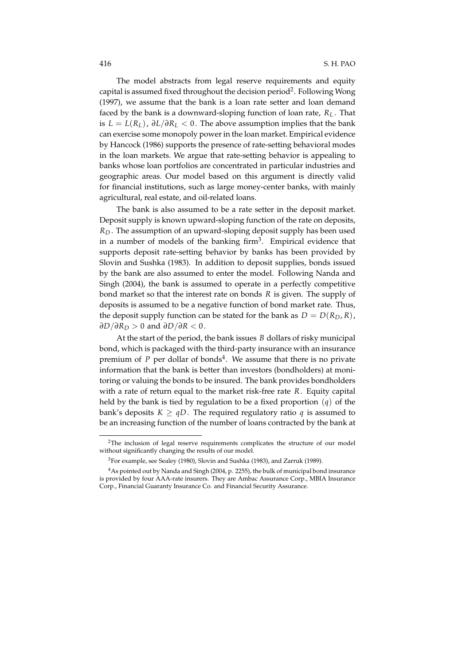The model abstracts from legal reserve requirements and equity capital is assumed fixed throughout the decision period<sup>2</sup>. Following Wong (1997), we assume that the bank is a loan rate setter and loan demand faced by the bank is a downward-sloping function of loan rate, *R<sup>L</sup>* . That is *L* = *L*(*RL*), ∂*L*/∂*R<sup>L</sup>* < 0. The above assumption implies that the bank can exercise some monopoly power in the loan market. Empirical evidence by Hancock (1986) supports the presence of rate-setting behavioral modes in the loan markets. We argue that rate-setting behavior is appealing to banks whose loan portfolios are concentrated in particular industries and geographic areas. Our model based on this argument is directly valid for financial institutions, such as large money-center banks, with mainly agricultural, real estate, and oil-related loans.

The bank is also assumed to be a rate setter in the deposit market. Deposit supply is known upward-sloping function of the rate on deposits, *R<sup>D</sup>* . The assumption of an upward-sloping deposit supply has been used in a number of models of the banking firm<sup>3</sup>. Empirical evidence that supports deposit rate-setting behavior by banks has been provided by Slovin and Sushka (1983). In addition to deposit supplies, bonds issued by the bank are also assumed to enter the model. Following Nanda and Singh (2004), the bank is assumed to operate in a perfectly competitive bond market so that the interest rate on bonds *R* is given. The supply of deposits is assumed to be a negative function of bond market rate. Thus, the deposit supply function can be stated for the bank as  $D = D(R_D, R)$ , ∂ $D/\partial R_D > 0$  and ∂ $D/\partial R < 0$ .

At the start of the period, the bank issues *B* dollars of risky municipal bond, which is packaged with the third-party insurance with an insurance premium of P per dollar of bonds<sup>4</sup>. We assume that there is no private information that the bank is better than investors (bondholders) at monitoring or valuing the bonds to be insured. The bank provides bondholders with a rate of return equal to the market risk-free rate *R*. Equity capital held by the bank is tied by regulation to be a fixed proportion (*q*) of the bank's deposits  $K \geq qD$ . The required regulatory ratio q is assumed to be an increasing function of the number of loans contracted by the bank at

<sup>2</sup>The inclusion of legal reserve requirements complicates the structure of our model without significantly changing the results of our model.

<sup>3</sup>For example, see Sealey (1980), Slovin and Sushka (1983), and Zarruk (1989).

<sup>4</sup>As pointed out by Nanda and Singh (2004, p. 2255), the bulk of municipal bond insurance is provided by four AAA-rate insurers. They are Ambac Assurance Corp., MBIA Insurance Corp., Financial Guaranty Insurance Co. and Financial Security Assurance.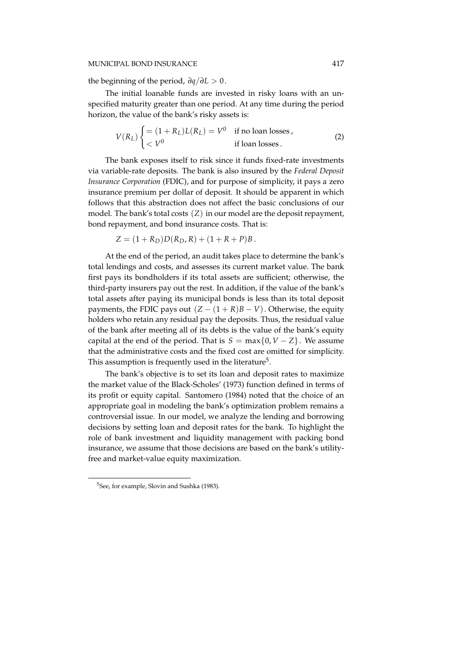## MUNICIPAL BOND INSURANCE 417

the beginning of the period, ∂*q*/∂*L* > 0.

The initial loanable funds are invested in risky loans with an unspecified maturity greater than one period. At any time during the period horizon, the value of the bank's risky assets is:

$$
V(R_L) \begin{cases} = (1 + R_L)L(R_L) = V^0 & \text{if no loan losses,} \\ < V^0 & \text{if loan losses.} \end{cases}
$$
 (2)

The bank exposes itself to risk since it funds fixed-rate investments via variable-rate deposits. The bank is also insured by the *Federal Deposit Insurance Corporation* (FDIC), and for purpose of simplicity, it pays a zero insurance premium per dollar of deposit. It should be apparent in which follows that this abstraction does not affect the basic conclusions of our model. The bank's total costs (*Z*) in our model are the deposit repayment, bond repayment, and bond insurance costs. That is:

$$
Z = (1 + R_D)D(R_D, R) + (1 + R + P)B.
$$

At the end of the period, an audit takes place to determine the bank's total lendings and costs, and assesses its current market value. The bank first pays its bondholders if its total assets are sufficient; otherwise, the third-party insurers pay out the rest. In addition, if the value of the bank's total assets after paying its municipal bonds is less than its total deposit payments, the FDIC pays out  $(Z - (1 + R)B - V)$ . Otherwise, the equity holders who retain any residual pay the deposits. Thus, the residual value of the bank after meeting all of its debts is the value of the bank's equity capital at the end of the period. That is  $S = \max\{0, V - Z\}$ . We assume that the administrative costs and the fixed cost are omitted for simplicity. This assumption is frequently used in the literature<sup>5</sup>.

The bank's objective is to set its loan and deposit rates to maximize the market value of the Black-Scholes' (1973) function defined in terms of its profit or equity capital. Santomero (1984) noted that the choice of an appropriate goal in modeling the bank's optimization problem remains a controversial issue. In our model, we analyze the lending and borrowing decisions by setting loan and deposit rates for the bank. To highlight the role of bank investment and liquidity management with packing bond insurance, we assume that those decisions are based on the bank's utilityfree and market-value equity maximization.

<sup>&</sup>lt;sup>5</sup>See, for example, Slovin and Sushka (1983).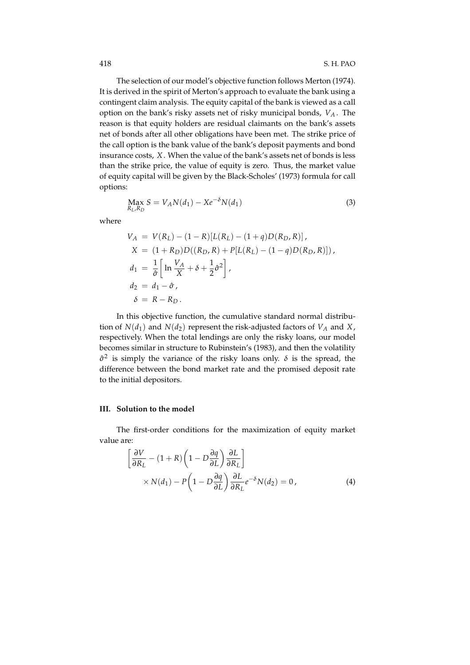The selection of our model's objective function follows Merton (1974). It is derived in the spirit of Merton's approach to evaluate the bank using a contingent claim analysis. The equity capital of the bank is viewed as a call option on the bank's risky assets net of risky municipal bonds, *V<sup>A</sup>* . The reason is that equity holders are residual claimants on the bank's assets net of bonds after all other obligations have been met. The strike price of the call option is the bank value of the bank's deposit payments and bond insurance costs, *X*. When the value of the bank's assets net of bonds is less than the strike price, the value of equity is zero. Thus, the market value of equity capital will be given by the Black-Scholes' (1973) formula for call options:

$$
\max_{R_L, R_D} S = V_A N(d_1) - X e^{-\delta} N(d_1)
$$
\n(3)

where

$$
V_A = V(R_L) - (1 - R)[L(R_L) - (1 + q)D(R_D, R)],
$$
  
\n
$$
X = (1 + R_D)D((R_D, R) + P[L(R_L) - (1 - q)D(R_D, R)]),
$$
  
\n
$$
d_1 = \frac{1}{\hat{\sigma}} \left[ \ln \frac{V_A}{X} + \delta + \frac{1}{2} \hat{\sigma}^2 \right],
$$
  
\n
$$
d_2 = d_1 - \hat{\sigma},
$$
  
\n
$$
\delta = R - R_D.
$$

In this objective function, the cumulative standard normal distribution of  $N(d_1)$  and  $N(d_2)$  represent the risk-adjusted factors of  $V_A$  and  $X$ , respectively. When the total lendings are only the risky loans, our model becomes similar in structure to Rubinstein's (1983), and then the volatility  $\hat{\sigma}^2$  is simply the variance of the risky loans only.  $\delta$  is the spread, the difference between the bond market rate and the promised deposit rate to the initial depositors.

#### **III. Solution to the model**

The first-order conditions for the maximization of equity market value are:

$$
\left[\frac{\partial V}{\partial R_L} - (1+R)\left(1 - D\frac{\partial q}{\partial L}\right)\frac{\partial L}{\partial R_L}\right] \times N(d_1) - P\left(1 - D\frac{\partial q}{\partial L}\right)\frac{\partial L}{\partial R_L}e^{-\delta}N(d_2) = 0,
$$
\n(4)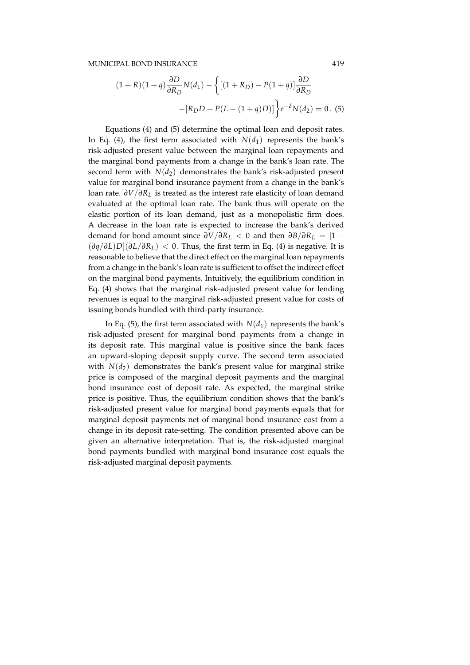$$
(1+R)(1+q)\frac{\partial D}{\partial R_D}N(d_1) - \left\{ \left[ (1+R_D) - P(1+q) \right] \frac{\partial D}{\partial R_D} - \left[ R_D D + P(L - (1+q)D) \right] \right\} e^{-\delta} N(d_2) = 0. \tag{5}
$$

Equations (4) and (5) determine the optimal loan and deposit rates. In Eq. (4), the first term associated with  $N(d_1)$  represents the bank's risk-adjusted present value between the marginal loan repayments and the marginal bond payments from a change in the bank's loan rate. The second term with  $N(d_2)$  demonstrates the bank's risk-adjusted present value for marginal bond insurance payment from a change in the bank's loan rate. ∂*V*/∂*R<sup>L</sup>* is treated as the interest rate elasticity of loan demand evaluated at the optimal loan rate. The bank thus will operate on the elastic portion of its loan demand, just as a monopolistic firm does. A decrease in the loan rate is expected to increase the bank's derived demand for bond amount since  $\partial V/\partial R_L < 0$  and then  $\partial B/\partial R_L = [1 (\partial q/\partial L)D[(\partial L/\partial R_L)]$  < 0. Thus, the first term in Eq. (4) is negative. It is reasonable to believe that the direct effect on the marginal loan repayments from a change in the bank's loan rate is sufficient to offset the indirect effect on the marginal bond payments. Intuitively, the equilibrium condition in Eq. (4) shows that the marginal risk-adjusted present value for lending revenues is equal to the marginal risk-adjusted present value for costs of issuing bonds bundled with third-party insurance.

In Eq. (5), the first term associated with  $N(d_1)$  represents the bank's risk-adjusted present for marginal bond payments from a change in its deposit rate. This marginal value is positive since the bank faces an upward-sloping deposit supply curve. The second term associated with  $N(d_2)$  demonstrates the bank's present value for marginal strike price is composed of the marginal deposit payments and the marginal bond insurance cost of deposit rate. As expected, the marginal strike price is positive. Thus, the equilibrium condition shows that the bank's risk-adjusted present value for marginal bond payments equals that for marginal deposit payments net of marginal bond insurance cost from a change in its deposit rate-setting. The condition presented above can be given an alternative interpretation. That is, the risk-adjusted marginal bond payments bundled with marginal bond insurance cost equals the risk-adjusted marginal deposit payments.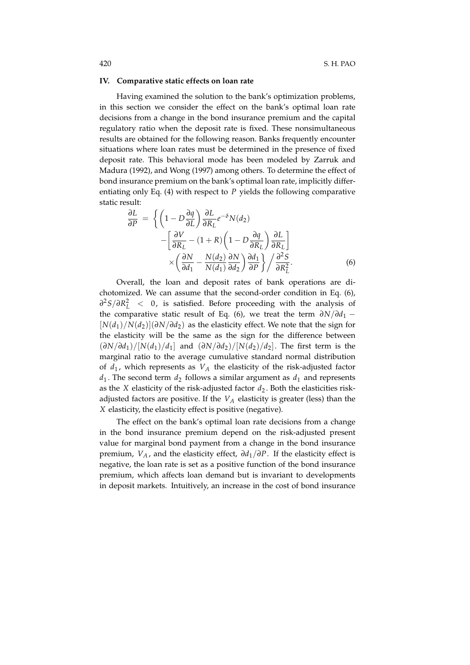#### **IV. Comparative static effects on loan rate**

Having examined the solution to the bank's optimization problems, in this section we consider the effect on the bank's optimal loan rate decisions from a change in the bond insurance premium and the capital regulatory ratio when the deposit rate is fixed. These nonsimultaneous results are obtained for the following reason. Banks frequently encounter situations where loan rates must be determined in the presence of fixed deposit rate. This behavioral mode has been modeled by Zarruk and Madura (1992), and Wong (1997) among others. To determine the effect of bond insurance premium on the bank's optimal loan rate, implicitly differentiating only Eq. (4) with respect to *P* yields the following comparative static result:

$$
\frac{\partial L}{\partial P} = \left\{ \left( 1 - D \frac{\partial q}{\partial L} \right) \frac{\partial L}{\partial R_L} e^{-\delta} N(d_2) - \left[ \frac{\partial V}{\partial R_L} - (1 + R) \left( 1 - D \frac{\partial q}{\partial R_L} \right) \frac{\partial L}{\partial R_L} \right] \times \left( \frac{\partial N}{\partial d_1} - \frac{N(d_2)}{N(d_1)} \frac{\partial N}{\partial d_2} \right) \frac{\partial d_1}{\partial P} \right\} / \frac{\partial^2 S}{\partial R_L^2}.
$$
\n(6)

Overall, the loan and deposit rates of bank operations are dichotomized. We can assume that the second-order condition in Eq. (6), ∂<sup>2</sup>S/∂R<sup>2</sup><sub>L</sub> < 0, is satisfied. Before proceeding with the analysis of the comparative static result of Eq. (6), we treat the term  $\partial N/\partial d_1$  –  $[N(d_1)/N(d_2)](\partial N/\partial d_2)$  as the elasticity effect. We note that the sign for the elasticity will be the same as the sign for the difference between  $(\partial N/\partial d_1)/[N(d_1)/d_1]$  and  $(\partial N/\partial d_2)/[N(d_2)/d_2]$ . The first term is the marginal ratio to the average cumulative standard normal distribution of  $d_1$ , which represents as  $V_A$  the elasticity of the risk-adjusted factor  $d_1$ . The second term  $d_2$  follows a similar argument as  $d_1$  and represents as the *X* elasticity of the risk-adjusted factor  $d_2$ . Both the elasticities riskadjusted factors are positive. If the *V<sup>A</sup>* elasticity is greater (less) than the *X* elasticity, the elasticity effect is positive (negative).

The effect on the bank's optimal loan rate decisions from a change in the bond insurance premium depend on the risk-adjusted present value for marginal bond payment from a change in the bond insurance premium, *V<sup>A</sup>* , and the elasticity effect, ∂*d*1/∂*P*. If the elasticity effect is negative, the loan rate is set as a positive function of the bond insurance premium, which affects loan demand but is invariant to developments in deposit markets. Intuitively, an increase in the cost of bond insurance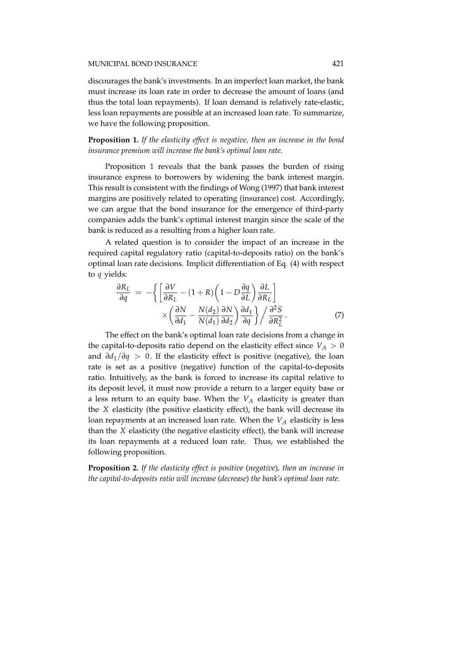discourages the bank's investments. In an imperfect loan market, the bank must increase its loan rate in order to decrease the amount of loans (and thus the total loan repayments). If loan demand is relatively rate-elastic, less loan repayments are possible at an increased loan rate. To summarize, we have the following proposition.

**Proposition 1.** *If the elasticity effect is negative, then an increase in the bond insurance premium will increase the bank's optimal loan rate.*

Proposition 1 reveals that the bank passes the burden of rising insurance express to borrowers by widening the bank interest margin. This result is consistent with the findings of Wong (1997) that bank interest margins are positively related to operating (insurance) cost. Accordingly, we can argue that the bond insurance for the emergence of third-party companies adds the bank's optimal interest margin since the scale of the bank is reduced as a resulting from a higher loan rate.

A related question is to consider the impact of an increase in the required capital regulatory ratio (capital-to-deposits ratio) on the bank's optimal loan rate decisions. Implicit differentiation of Eq. (4) with respect to *q* yields:

$$
\frac{\partial R_L}{\partial q} = -\left\{ \left[ \frac{\partial V}{\partial R_L} - (1+R) \left( 1 - D \frac{\partial q}{\partial L} \right) \frac{\partial L}{\partial R_L} \right] \times \left( \frac{\partial N}{\partial d_1} - \frac{N(d_2)}{N(d_1)} \frac{\partial N}{\partial d_2} \right) \frac{\partial d_1}{\partial q} \right\} / \frac{\partial^2 S}{\partial R_L^2}.
$$
\n(7)

The effect on the bank's optimal loan rate decisions from a change in the capital-to-deposits ratio depend on the elasticity effect since  $V_A > 0$ and ∂*d*1/∂*q* > 0. If the elasticity effect is positive (negative), the loan rate is set as a positive (negative) function of the capital-to-deposits ratio. Intuitively, as the bank is forced to increase its capital relative to its deposit level, it must now provide a return to a larger equity base or a less return to an equity base. When the *V<sup>A</sup>* elasticity is greater than the *X* elasticity (the positive elasticity effect), the bank will decrease its loan repayments at an increased loan rate. When the *V<sup>A</sup>* elasticity is less than the *X* elasticity (the negative elasticity effect), the bank will increase its loan repayments at a reduced loan rate. Thus, we established the following proposition.

**Proposition 2.** *If the elasticity effect is positive* (*negative*)*, then an increase in the capital-to-deposits ratio will increase* (*decrease*) *the bank's optimal loan rate.*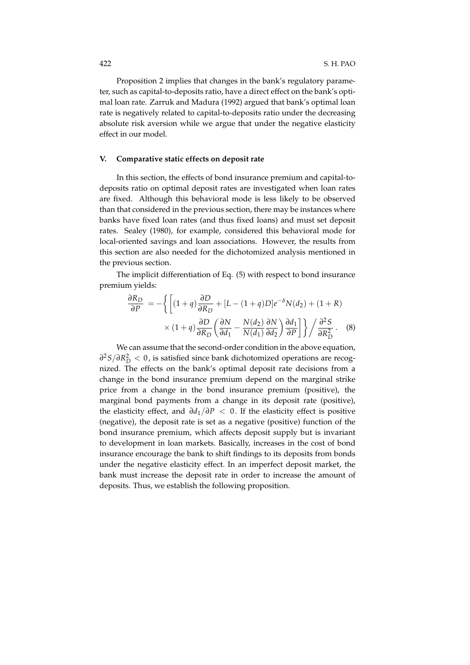Proposition 2 implies that changes in the bank's regulatory parameter, such as capital-to-deposits ratio, have a direct effect on the bank's optimal loan rate. Zarruk and Madura (1992) argued that bank's optimal loan rate is negatively related to capital-to-deposits ratio under the decreasing absolute risk aversion while we argue that under the negative elasticity effect in our model.

## **V. Comparative static effects on deposit rate**

In this section, the effects of bond insurance premium and capital-todeposits ratio on optimal deposit rates are investigated when loan rates are fixed. Although this behavioral mode is less likely to be observed than that considered in the previous section, there may be instances where banks have fixed loan rates (and thus fixed loans) and must set deposit rates. Sealey (1980), for example, considered this behavioral mode for local-oriented savings and loan associations. However, the results from this section are also needed for the dichotomized analysis mentioned in the previous section.

The implicit differentiation of Eq. (5) with respect to bond insurance premium yields:

$$
\frac{\partial R_D}{\partial P} = -\left\{ \left[ (1+q) \frac{\partial D}{\partial R_D} + [L - (1+q)D]e^{-\delta} N(d_2) + (1+R) \times (1+q) \frac{\partial D}{\partial R_D} \left( \frac{\partial N}{\partial d_1} - \frac{N(d_2)}{N(d_1)} \frac{\partial N}{\partial d_2} \right) \frac{\partial d_1}{\partial P} \right] \right\} / \frac{\partial^2 S}{\partial R_D^2}.
$$
 (8)

We can assume that the second-order condition in the above equation, ∂<sup>2</sup>*S*/∂*R*<sup>2</sup><sub>*D*</sub> < 0, is satisfied since bank dichotomized operations are recognized. The effects on the bank's optimal deposit rate decisions from a change in the bond insurance premium depend on the marginal strike price from a change in the bond insurance premium (positive), the marginal bond payments from a change in its deposit rate (positive), the elasticity effect, and  $\partial d_1/\partial P < 0$ . If the elasticity effect is positive (negative), the deposit rate is set as a negative (positive) function of the bond insurance premium, which affects deposit supply but is invariant to development in loan markets. Basically, increases in the cost of bond insurance encourage the bank to shift findings to its deposits from bonds under the negative elasticity effect. In an imperfect deposit market, the bank must increase the deposit rate in order to increase the amount of deposits. Thus, we establish the following proposition.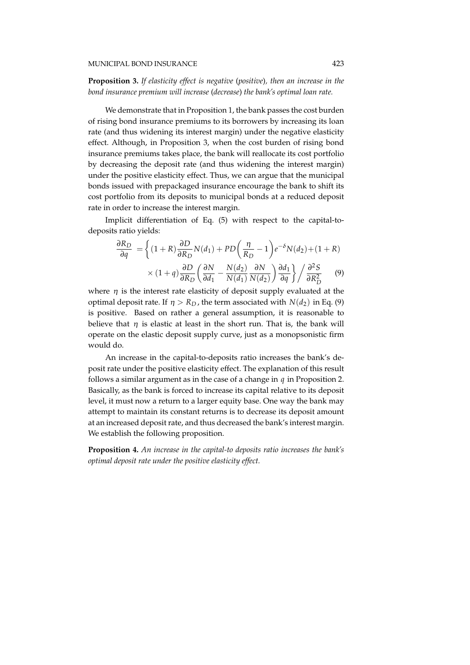**Proposition 3.** *If elasticity effect is negative* (*positive*)*, then an increase in the bond insurance premium will increase* (*decrease*) *the bank's optimal loan rate.*

We demonstrate that in Proposition 1, the bank passes the cost burden of rising bond insurance premiums to its borrowers by increasing its loan rate (and thus widening its interest margin) under the negative elasticity effect. Although, in Proposition 3, when the cost burden of rising bond insurance premiums takes place, the bank will reallocate its cost portfolio by decreasing the deposit rate (and thus widening the interest margin) under the positive elasticity effect. Thus, we can argue that the municipal bonds issued with prepackaged insurance encourage the bank to shift its cost portfolio from its deposits to municipal bonds at a reduced deposit rate in order to increase the interest margin.

Implicit differentiation of Eq. (5) with respect to the capital-todeposits ratio yields:

$$
\frac{\partial R_D}{\partial q} = \left\{ (1+R) \frac{\partial D}{\partial R_D} N(d_1) + PD\left(\frac{\eta}{R_D} - 1\right) e^{-\delta} N(d_2) + (1+R) \times (1+q) \frac{\partial D}{\partial R_D} \left(\frac{\partial N}{\partial d_1} - \frac{N(d_2)}{N(d_1)} \frac{\partial N}{N(d_2)}\right) \frac{\partial d_1}{\partial q} \right\} / \frac{\partial^2 S}{\partial R_D^2}
$$
(9)

where  $\eta$  is the interest rate elasticity of deposit supply evaluated at the optimal deposit rate. If  $\eta > R_D$ , the term associated with  $N(d_2)$  in Eq. (9) is positive. Based on rather a general assumption, it is reasonable to believe that  $\eta$  is elastic at least in the short run. That is, the bank will operate on the elastic deposit supply curve, just as a monopsonistic firm would do.

An increase in the capital-to-deposits ratio increases the bank's deposit rate under the positive elasticity effect. The explanation of this result follows a similar argument as in the case of a change in *q* in Proposition 2. Basically, as the bank is forced to increase its capital relative to its deposit level, it must now a return to a larger equity base. One way the bank may attempt to maintain its constant returns is to decrease its deposit amount at an increased deposit rate, and thus decreased the bank's interest margin. We establish the following proposition.

**Proposition 4.** *An increase in the capital-to deposits ratio increases the bank's optimal deposit rate under the positive elasticity effect.*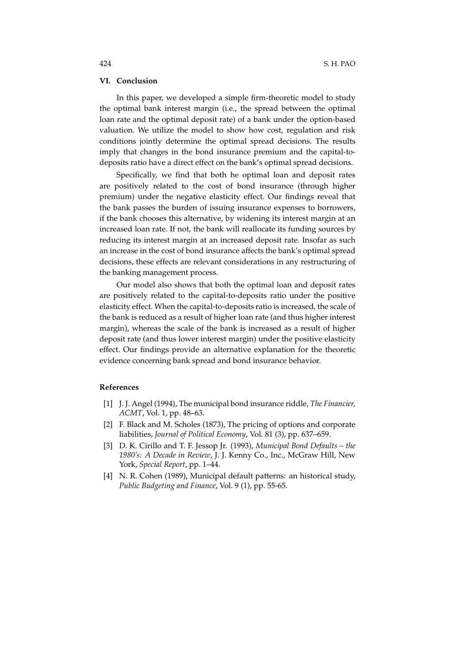## **VI. Conclusion**

In this paper, we developed a simple firm-theoretic model to study the optimal bank interest margin (i.e., the spread between the optimal loan rate and the optimal deposit rate) of a bank under the option-based valuation. We utilize the model to show how cost, regulation and risk conditions jointly determine the optimal spread decisions. The results imply that changes in the bond insurance premium and the capital-todeposits ratio have a direct effect on the bank's optimal spread decisions.

Specifically, we find that both he optimal loan and deposit rates are positively related to the cost of bond insurance (through higher premium) under the negative elasticity effect. Our findings reveal that the bank passes the burden of issuing insurance expenses to borrowers, if the bank chooses this alternative, by widening its interest margin at an increased loan rate. If not, the bank will reallocate its funding sources by reducing its interest margin at an increased deposit rate. Insofar as such an increase in the cost of bond insurance affects the bank's optimal spread decisions, these effects are relevant considerations in any restructuring of the banking management process.

Our model also shows that both the optimal loan and deposit rates are positively related to the capital-to-deposits ratio under the positive elasticity effect. When the capital-to-deposits ratio is increased, the scale of the bank is reduced as a result of higher loan rate (and thus higher interest margin), whereas the scale of the bank is increased as a result of higher deposit rate (and thus lower interest margin) under the positive elasticity effect. Our findings provide an alternative explanation for the theoretic evidence concerning bank spread and bond insurance behavior.

#### **References**

- [1] J. J. Angel (1994), The municipal bond insurance riddle, *The Financier, ACMT*, Vol. 1, pp. 48–63.
- [2] F. Black and M. Scholes (1873), The pricing of options and corporate liabilities, *Journal of Political Economy*, Vol. 81 (3), pp. 637–659.
- [3] D. K. Cirillo and T. F. Jessop Jr. (1993), *Municipal Bond Defaults the 1980's: A Decade in Review*, J. J. Kenny Co., Inc., McGraw Hill, New York, *Special Report*, pp. 1–44.
- [4] N. R. Cohen (1989), Municipal default patterns: an historical study, *Public Budgeting and Finance*, Vol. 9 (1), pp. 55-65.